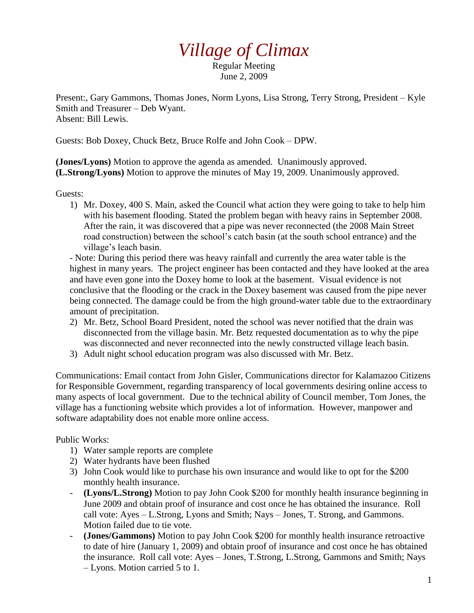## *Village of Climax*

Regular Meeting June 2, 2009

Present:, Gary Gammons, Thomas Jones, Norm Lyons, Lisa Strong, Terry Strong, President – Kyle Smith and Treasurer – Deb Wyant. Absent: Bill Lewis.

Guests: Bob Doxey, Chuck Betz, Bruce Rolfe and John Cook – DPW.

**(Jones/Lyons)** Motion to approve the agenda as amended. Unanimously approved. **(L.Strong/Lyons)** Motion to approve the minutes of May 19, 2009. Unanimously approved.

Guests:

1) Mr. Doxey, 400 S. Main, asked the Council what action they were going to take to help him with his basement flooding. Stated the problem began with heavy rains in September 2008. After the rain, it was discovered that a pipe was never reconnected (the 2008 Main Street road construction) between the school's catch basin (at the south school entrance) and the village's leach basin.

- Note: During this period there was heavy rainfall and currently the area water table is the highest in many years. The project engineer has been contacted and they have looked at the area and have even gone into the Doxey home to look at the basement. Visual evidence is not conclusive that the flooding or the crack in the Doxey basement was caused from the pipe never being connected. The damage could be from the high ground-water table due to the extraordinary amount of precipitation.

- 2) Mr. Betz, School Board President, noted the school was never notified that the drain was disconnected from the village basin. Mr. Betz requested documentation as to why the pipe was disconnected and never reconnected into the newly constructed village leach basin.
- 3) Adult night school education program was also discussed with Mr. Betz.

Communications: Email contact from John Gisler, Communications director for Kalamazoo Citizens for Responsible Government, regarding transparency of local governments desiring online access to many aspects of local government. Due to the technical ability of Council member, Tom Jones, the village has a functioning website which provides a lot of information. However, manpower and software adaptability does not enable more online access.

Public Works:

- 1) Water sample reports are complete
- 2) Water hydrants have been flushed
- 3) John Cook would like to purchase his own insurance and would like to opt for the \$200 monthly health insurance.
- **(Lyons/L.Strong)** Motion to pay John Cook \$200 for monthly health insurance beginning in June 2009 and obtain proof of insurance and cost once he has obtained the insurance. Roll call vote: Ayes – L.Strong, Lyons and Smith; Nays – Jones, T. Strong, and Gammons. Motion failed due to tie vote.
- **(Jones/Gammons)** Motion to pay John Cook \$200 for monthly health insurance retroactive to date of hire (January 1, 2009) and obtain proof of insurance and cost once he has obtained the insurance. Roll call vote: Ayes – Jones, T.Strong, L.Strong, Gammons and Smith; Nays – Lyons. Motion carried 5 to 1.